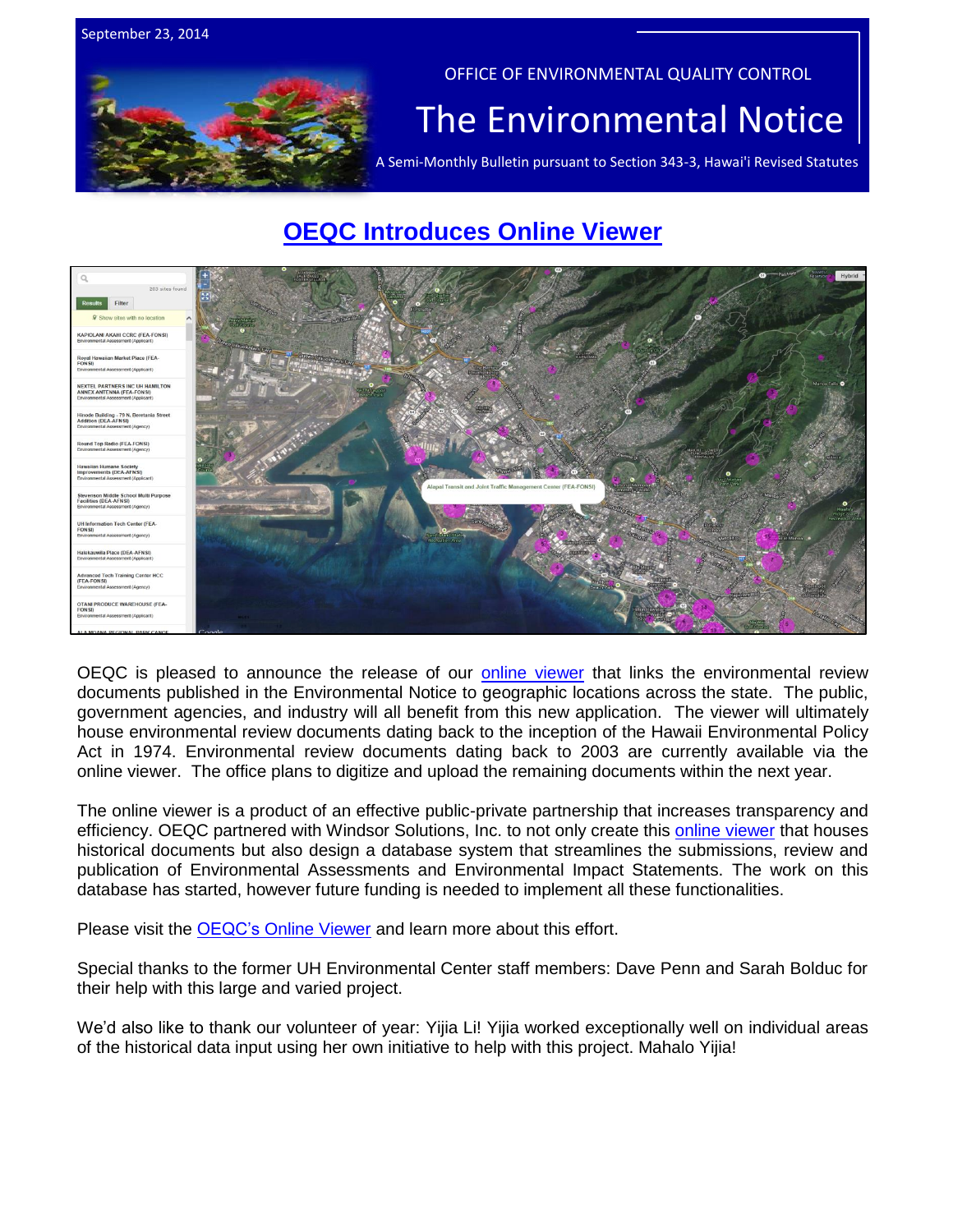

# **[OEQC Introduces Online Viewer](http://eha-web.doh.hawaii.gov/oeqc-viewer/)**



OEQC is pleased to announce the release of our **online viewer** that links the environmental review documents published in the Environmental Notice to geographic locations across the state. The public, government agencies, and industry will all benefit from this new application. The viewer will ultimately house environmental review documents dating back to the inception of the Hawaii Environmental Policy Act in 1974. Environmental review documents dating back to 2003 are currently available via the online viewer. The office plans to digitize and upload the remaining documents within the next year.

The online viewer is a product of an effective public-private partnership that increases transparency and efficiency. OEQC partnered with Windsor Solutions, Inc. to not only create this [online viewer](http://eha-web.doh.hawaii.gov/oeqc-viewer/) that houses historical documents but also design a database system that streamlines the submissions, review and publication of Environmental Assessments and Environmental Impact Statements. The work on this database has started, however future funding is needed to implement all these functionalities.

Please visit the OEQC's [Online Viewer](http://eha-web.doh.hawaii.gov/oeqc-viewer/) and learn more about this effort.

Special thanks to the former UH Environmental Center staff members: Dave Penn and Sarah Bolduc for their help with this large and varied project.

We'd also like to thank our volunteer of year: Yijia Li! Yijia worked exceptionally well on individual areas of the historical data input using her own initiative to help with this project. Mahalo Yijia!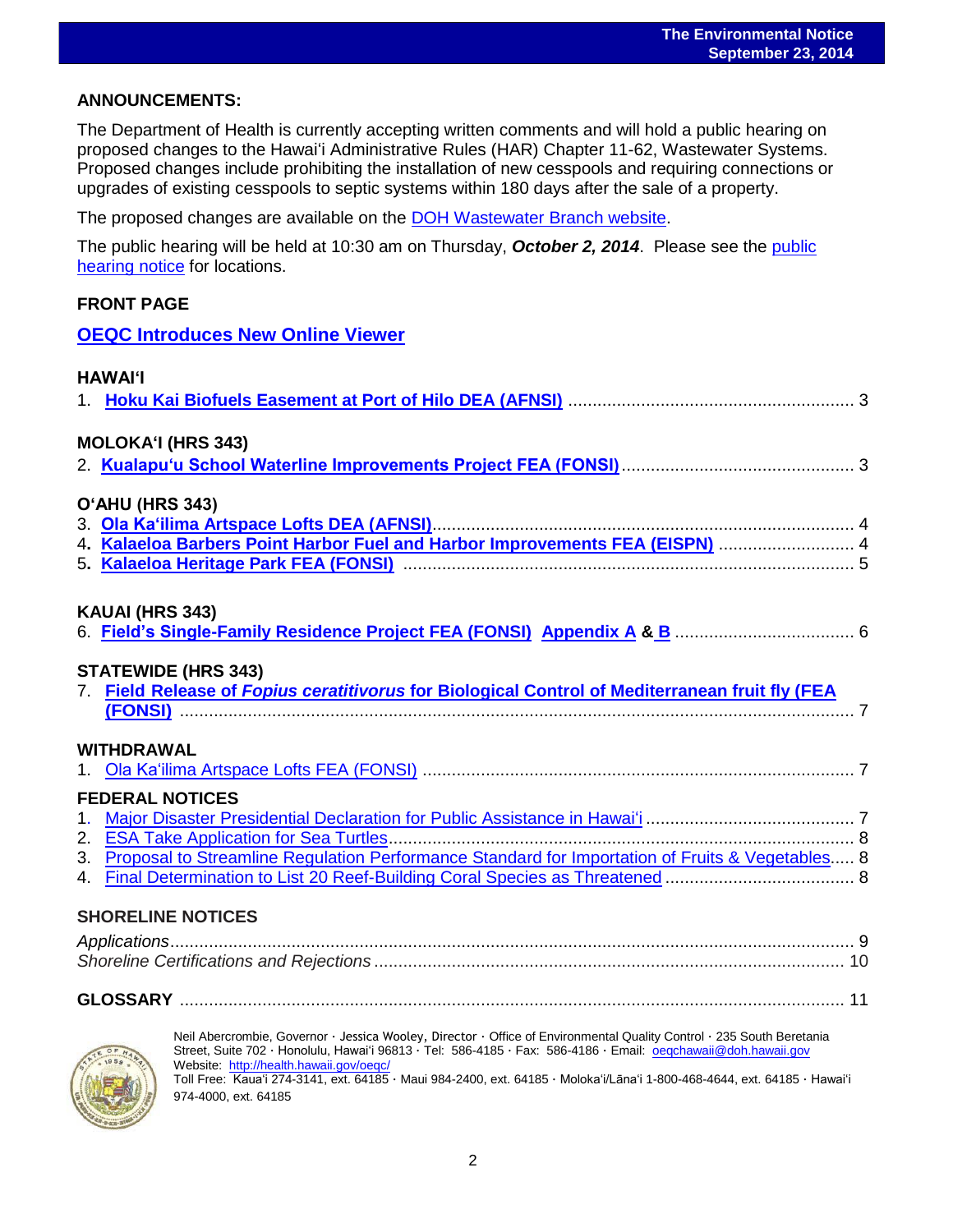### **ANNOUNCEMENTS:**

The Department of Health is currently accepting written comments and will hold a public hearing on proposed changes to the Hawai'i Administrative Rules (HAR) Chapter 11-62, Wastewater Systems. Proposed changes include prohibiting the installation of new cesspools and requiring connections or upgrades of existing cesspools to septic systems within 180 days after the sale of a property.

The proposed changes are available on the [DOH Wastewater](http://health.hawaii.gov/wastewater/home/public_notice/) Branch website.

The public hearing will be held at 10:30 am on Thursday, *October 2, 2014*. Please see the [public](http://health.hawaii.gov/wastewater/files/2014/08/Public_Notice.pdf)  [hearing notice](http://health.hawaii.gov/wastewater/files/2014/08/Public_Notice.pdf) for locations.

### **FRONT PAGE**

**[OEQC Introduces New Online Viewer](http://eha-web.doh.hawaii.gov/oeqc-viewer/)**

| <b>HAWAI'I</b>                                                                                                        |  |
|-----------------------------------------------------------------------------------------------------------------------|--|
|                                                                                                                       |  |
| <b>MOLOKA'I (HRS 343)</b>                                                                                             |  |
|                                                                                                                       |  |
| O'AHU (HRS 343)                                                                                                       |  |
|                                                                                                                       |  |
|                                                                                                                       |  |
| 4. Kalaeloa Barbers Point Harbor Fuel and Harbor Improvements FEA (EISPN)  4                                          |  |
|                                                                                                                       |  |
| KAUAI (HRS 343)                                                                                                       |  |
|                                                                                                                       |  |
|                                                                                                                       |  |
| <b>STATEWIDE (HRS 343)</b>                                                                                            |  |
| 7. Field Release of Fopius ceratitivorus for Biological Control of Mediterranean fruit fly (FEA                       |  |
|                                                                                                                       |  |
|                                                                                                                       |  |
| <b>WITHDRAWAL</b>                                                                                                     |  |
|                                                                                                                       |  |
| <b>FEDERAL NOTICES</b>                                                                                                |  |
|                                                                                                                       |  |
|                                                                                                                       |  |
| 3. Proposal to Streamline Regulation Performance Standard for Importation of Fruits & Vegetables 8                    |  |
|                                                                                                                       |  |
|                                                                                                                       |  |
| <b>SHORELINE NOTICES</b>                                                                                              |  |
|                                                                                                                       |  |
|                                                                                                                       |  |
|                                                                                                                       |  |
|                                                                                                                       |  |
| Neil Abercrombie, Governor · Jessica Wooley, Director · Office of Environmental Quality Control · 235 South Beretania |  |



Neil Abercrombie, Governor · Jessica Wooley, Director · Office of Environmental Quality Control · 235 South Beretania Street, Suite 702 · Honolulu, Hawaiʻi 96813 · Tel: 586-4185 · Fax: 586-4186 · Email: <u>oeqchawaii@doh.hawaii.gov</u> Website:<http://health.hawaii.gov/oeqc/> Toll Free: Kauaʻi 274-3141, ext. 64185 · Maui 984-2400, ext. 64185 · Molokaʻi/Lānaʻi 1-800-468-4644, ext. 64185 · Hawaiʻi 974-4000, ext. 64185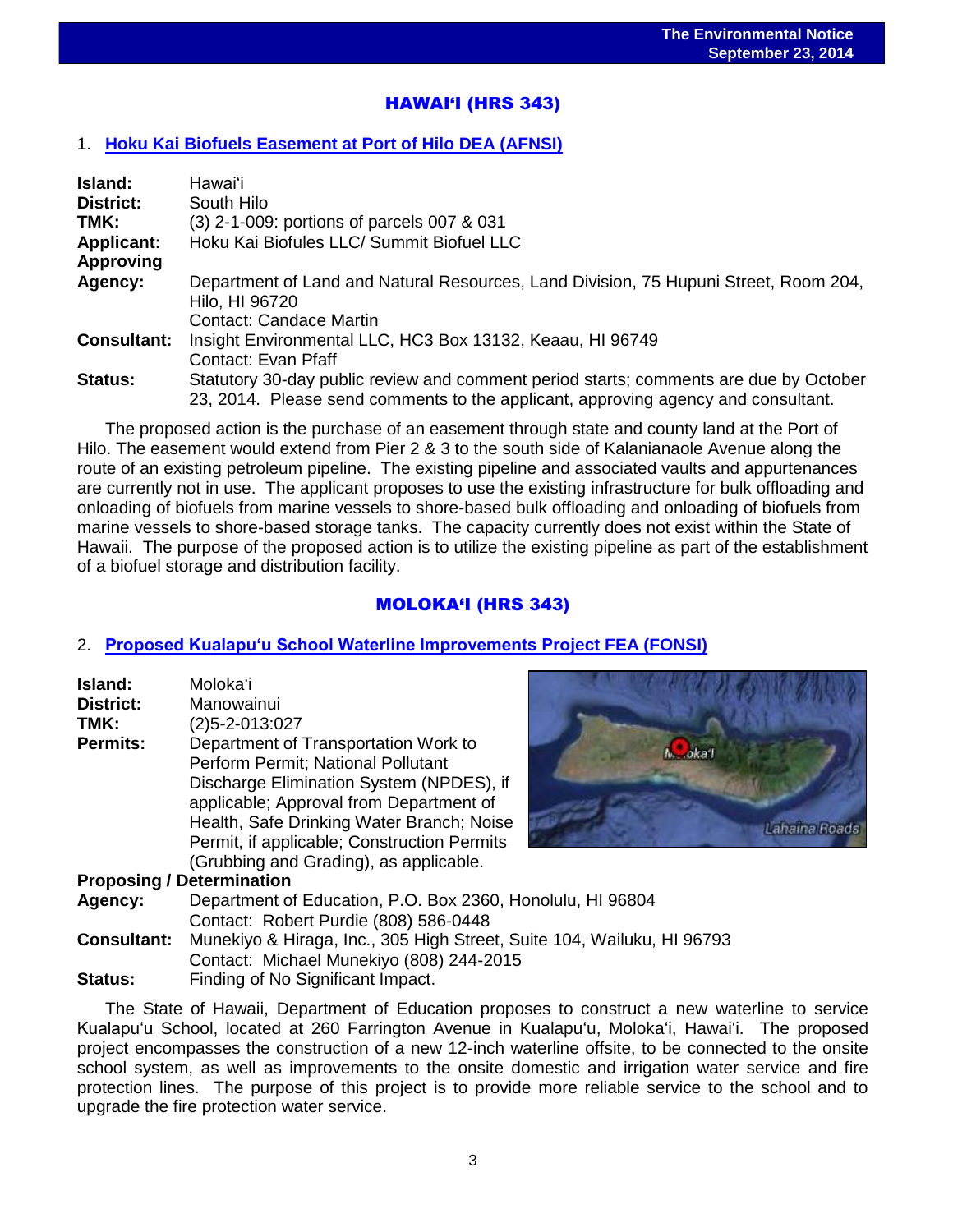# HAWAI'I (HRS 343)

## 1. **[Hoku Kai Biofuels Easement at Port of Hilo DEA \(AFNSI\)](http://oeqc.doh.hawaii.gov/Shared%20Documents/EA_and_EIS_Online_Library/Hawaii/2010s/2014-09-23-HA-5B-DEA-Hoku-Kai-Biofuels-Easement-at-Port-of-Hilo.pdf)**

| Island:            | Hawaiʻi                                                                               |  |  |  |
|--------------------|---------------------------------------------------------------------------------------|--|--|--|
| <b>District:</b>   | South Hilo                                                                            |  |  |  |
| TMK:               | (3) 2-1-009: portions of parcels 007 & 031                                            |  |  |  |
| <b>Applicant:</b>  | Hoku Kai Biofules LLC/ Summit Biofuel LLC                                             |  |  |  |
| <b>Approving</b>   |                                                                                       |  |  |  |
| Agency:            | Department of Land and Natural Resources, Land Division, 75 Hupuni Street, Room 204,  |  |  |  |
|                    | Hilo, HI 96720                                                                        |  |  |  |
|                    | <b>Contact: Candace Martin</b>                                                        |  |  |  |
| <b>Consultant:</b> | Insight Environmental LLC, HC3 Box 13132, Keaau, HI 96749                             |  |  |  |
|                    | Contact: Evan Pfaff                                                                   |  |  |  |
| <b>Status:</b>     | Statutory 30-day public review and comment period starts; comments are due by October |  |  |  |
|                    | 23, 2014. Please send comments to the applicant, approving agency and consultant.     |  |  |  |

The proposed action is the purchase of an easement through state and county land at the Port of Hilo. The easement would extend from Pier 2 & 3 to the south side of Kalanianaole Avenue along the route of an existing petroleum pipeline. The existing pipeline and associated vaults and appurtenances are currently not in use. The applicant proposes to use the existing infrastructure for bulk offloading and onloading of biofuels from marine vessels to shore-based bulk offloading and onloading of biofuels from marine vessels to shore-based storage tanks. The capacity currently does not exist within the State of Hawaii. The purpose of the proposed action is to utilize the existing pipeline as part of the establishment of a biofuel storage and distribution facility.

# MOLOKA'I (HRS 343)

## 2. **[Proposed Kualapu'u School Waterline Improvements Project FEA \(FONSI\)](http://oeqc.doh.hawaii.gov/Shared%20Documents/EA_and_EIS_Online_Library/Molokai/2010s/2014-9-23-MO-5B-FEA-Kualapuu-School-Waterline.pdf)**

| Island:          | Moloka'i                                    |
|------------------|---------------------------------------------|
| <b>District:</b> | Manowainui                                  |
| TMK:             | $(2)5 - 2 - 013:027$                        |
| <b>Permits:</b>  | Department of Transportation Work to        |
|                  | Perform Permit; National Pollutant          |
|                  | Discharge Elimination System (NPDES), if    |
|                  | applicable; Approval from Department of     |
|                  | Health, Safe Drinking Water Branch; Noise   |
|                  | Permit, if applicable; Construction Permits |
|                  | (Grubbing and Grading), as applicable.      |



### **Proposing / Determination**

**Agency:** Department of Education, P.O. Box 2360, Honolulu, HI 96804 Contact: Robert Purdie (808) 586-0448 **Consultant:** Munekiyo & Hiraga, Inc., 305 High Street, Suite 104, Wailuku, HI 96793 Contact: Michael Munekiyo (808) 244-2015

**Status:** Finding of No Significant Impact.

The State of Hawaii, Department of Education proposes to construct a new waterline to service Kualapu'u School, located at 260 Farrington Avenue in Kualapu'u, Moloka'i, Hawai'i. The proposed project encompasses the construction of a new 12-inch waterline offsite, to be connected to the onsite school system, as well as improvements to the onsite domestic and irrigation water service and fire protection lines. The purpose of this project is to provide more reliable service to the school and to upgrade the fire protection water service.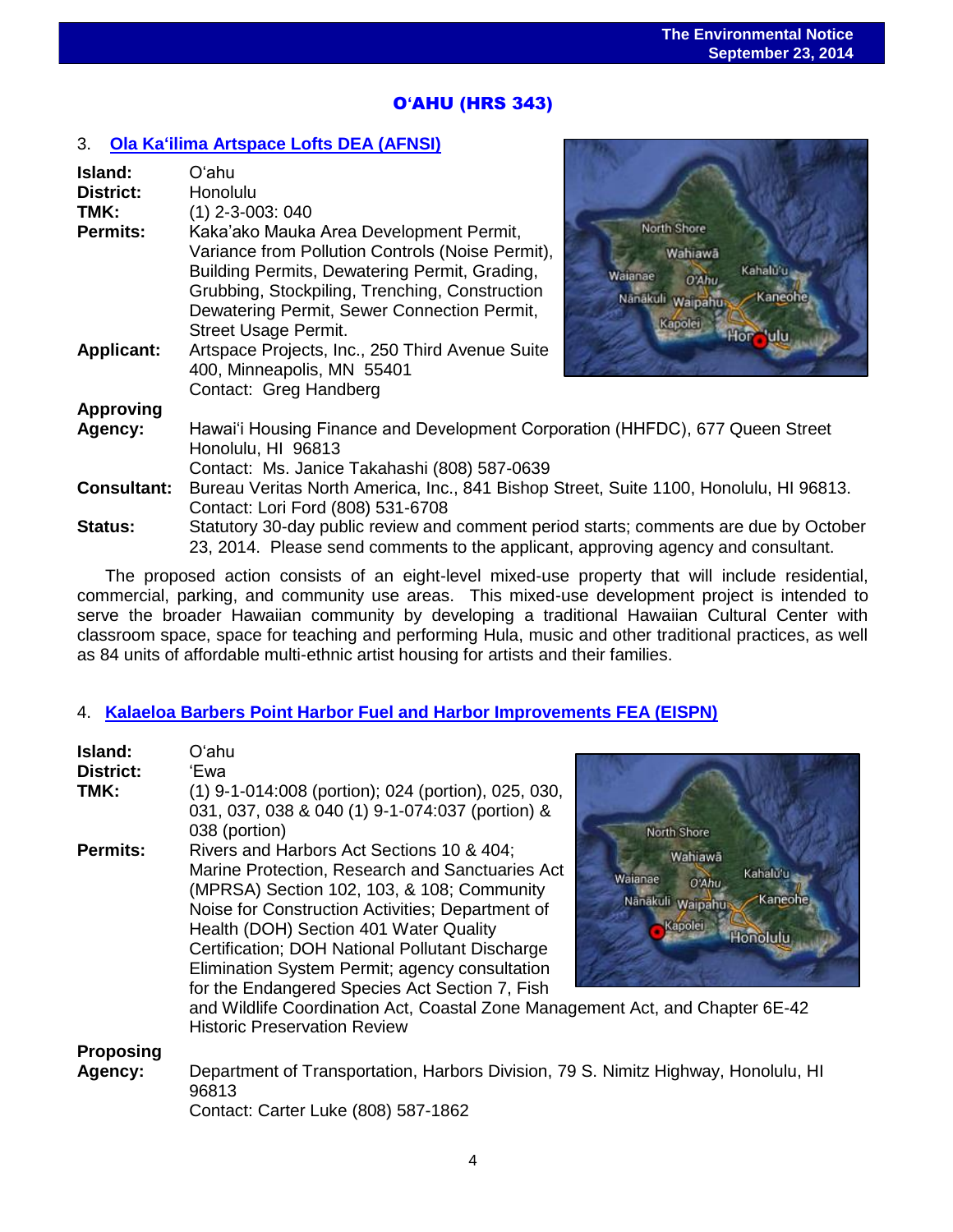# O**'**AHU (HRS 343)

### 3. **[Ola Ka'ilima Artspace Lofts](http://oeqc.doh.hawaii.gov/Shared%20Documents/EA_and_EIS_Online_Library/Oahu/2010s/2014-09-23-OA-5E-DEA2-Ola-Ka-Lima-Artspace-Lofts.pdf) DEA (AFNSI)**

| Island:<br>District:<br>TMK:<br><b>Permits:</b><br><b>Applicant:</b> | Oʻahu<br>Honolulu<br>$(1)$ 2-3-003: 040<br>Kaka'ako Mauka Area Development Permit,<br>Variance from Pollution Controls (Noise Permit),<br>Building Permits, Dewatering Permit, Grading,<br>Grubbing, Stockpiling, Trenching, Construction<br>Dewatering Permit, Sewer Connection Permit,<br><b>Street Usage Permit.</b><br>Artspace Projects, Inc., 250 Third Avenue Suite | North Shore<br>Wahiawa<br>Kahalu'u<br>Walanae<br>0'Ahu<br>Kaneohe<br>Nanakuli Waipahu<br>Kapolei |  |
|----------------------------------------------------------------------|----------------------------------------------------------------------------------------------------------------------------------------------------------------------------------------------------------------------------------------------------------------------------------------------------------------------------------------------------------------------------|--------------------------------------------------------------------------------------------------|--|
|                                                                      | 400, Minneapolis, MN 55401<br>Contact: Greg Handberg                                                                                                                                                                                                                                                                                                                       |                                                                                                  |  |
| <b>Approving</b>                                                     |                                                                                                                                                                                                                                                                                                                                                                            |                                                                                                  |  |
| Agency:                                                              | Hawai'i Housing Finance and Development Corporation (HHFDC), 677 Queen Street<br>Honolulu, HI 96813<br>Contact: Ms. Janice Takahashi (808) 587-0639                                                                                                                                                                                                                        |                                                                                                  |  |
| <b>Consultant:</b>                                                   | Bureau Veritas North America, Inc., 841 Bishop Street, Suite 1100, Honolulu, HI 96813.<br>Contact: Lori Ford (808) 531-6708                                                                                                                                                                                                                                                |                                                                                                  |  |
| <b>Status:</b>                                                       | Statutory 30-day public review and comment period starts; comments are due by October<br>23, 2014. Please send comments to the applicant, approving agency and consultant.                                                                                                                                                                                                 |                                                                                                  |  |

The proposed action consists of an eight-level mixed-use property that will include residential, commercial, parking, and community use areas. This mixed-use development project is intended to serve the broader Hawaiian community by developing a traditional Hawaiian Cultural Center with classroom space, space for teaching and performing Hula, music and other traditional practices, as well as 84 units of affordable multi-ethnic artist housing for artists and their families.

## 4. **[Kalaeloa Barbers Point Harbor Fuel and Harbor Improvements FEA \(EISPN\)](http://oeqc.doh.hawaii.gov/Shared%20Documents/EA_and_EIS_Online_Library/Oahu/2010s/2014-9-23-OA-5B-FEA-Kalaeloa-Barbers-Point-Harbor-Fuel-Pier.pdf)**

| Island:<br><b>District:</b><br>TMK: | Oʻahu<br>'Ewa<br>(1) 9-1-014:008 (portion); 024 (portion), 025, 030,<br>031, 037, 038 & 040 (1) 9-1-074:037 (portion) &<br>038 (portion)<br>North Shore                                                                                                                                                                                                                                                                                                                                                                                                                                                                         |  |  |
|-------------------------------------|---------------------------------------------------------------------------------------------------------------------------------------------------------------------------------------------------------------------------------------------------------------------------------------------------------------------------------------------------------------------------------------------------------------------------------------------------------------------------------------------------------------------------------------------------------------------------------------------------------------------------------|--|--|
| <b>Permits:</b>                     | Rivers and Harbors Act Sections 10 & 404;<br>Wahiawā<br>Marine Protection, Research and Sanctuaries Act<br>Kahalu'u<br>Waianae<br>O'Ahu<br>(MPRSA) Section 102, 103, & 108; Community<br>Kaneohe<br>Nanakuli Waipahu<br>Noise for Construction Activities; Department of<br>Kapolei<br>Health (DOH) Section 401 Water Quality<br><b>Honolulu</b><br>Certification; DOH National Pollutant Discharge<br>Elimination System Permit; agency consultation<br>for the Endangered Species Act Section 7, Fish<br>and Wildlife Coordination Act, Coastal Zone Management Act, and Chapter 6E-42<br><b>Historic Preservation Review</b> |  |  |
| <b>Proposing</b><br>Agency:         | Department of Transportation, Harbors Division, 79 S. Nimitz Highway, Honolulu, HI<br>96813<br>Contact: Carter Luke (808) 587-1862                                                                                                                                                                                                                                                                                                                                                                                                                                                                                              |  |  |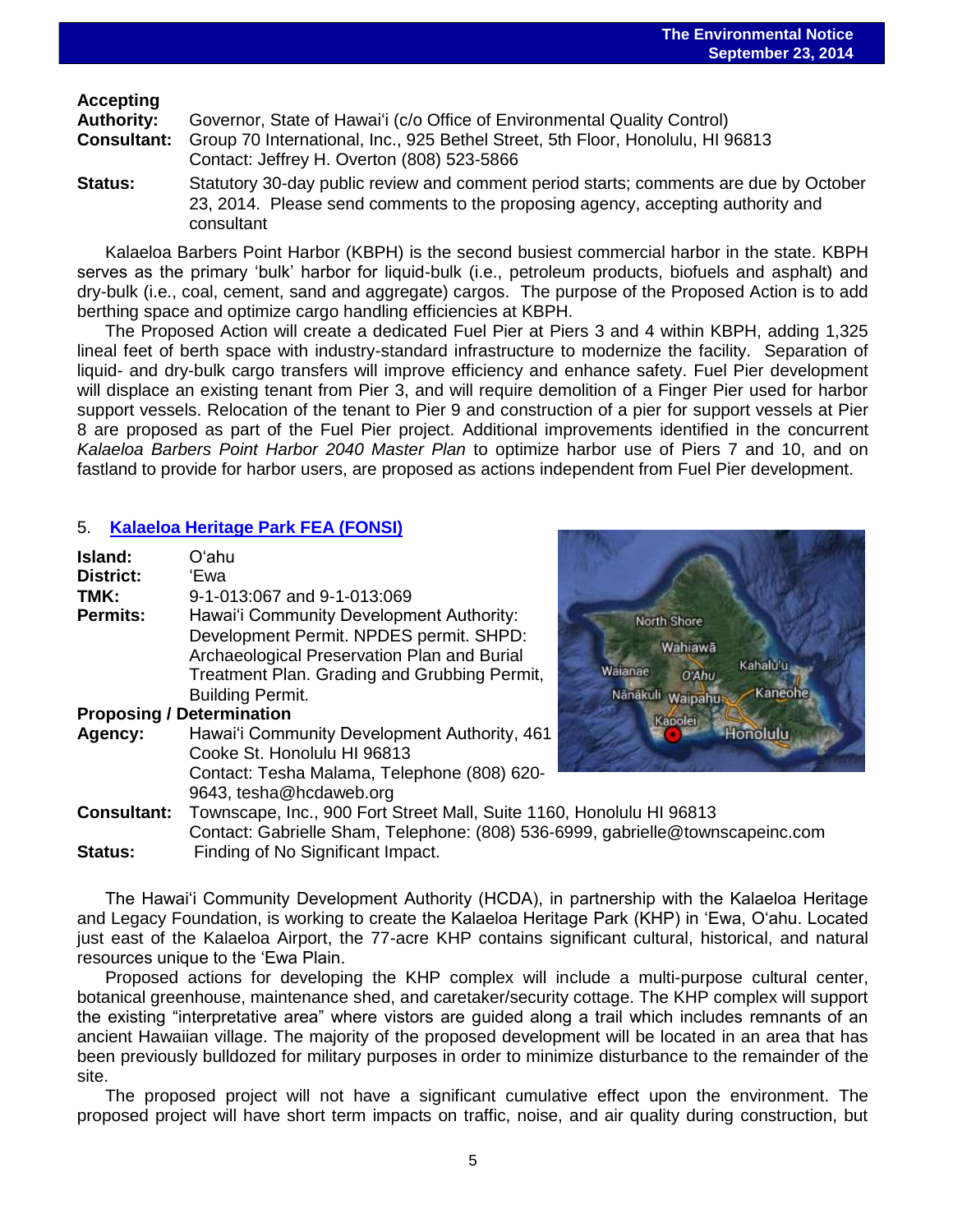# **Accepting**

| Authority:     | Governor, State of Hawai'i (c/o Office of Environmental Quality Control)                          |
|----------------|---------------------------------------------------------------------------------------------------|
|                | <b>Consultant:</b> Group 70 International, Inc., 925 Bethel Street, 5th Floor, Honolulu, HI 96813 |
|                | Contact: Jeffrey H. Overton (808) 523-5866                                                        |
| <b>Status:</b> | Statutory 30-day public review and comment period starts; comments are due by October             |
|                | 23, 2014. Please send comments to the proposing agency, accepting authority and                   |

Kalaeloa Barbers Point Harbor (KBPH) is the second busiest commercial harbor in the state. KBPH serves as the primary 'bulk' harbor for liquid-bulk (i.e., petroleum products, biofuels and asphalt) and dry-bulk (i.e., coal, cement, sand and aggregate) cargos. The purpose of the Proposed Action is to add berthing space and optimize cargo handling efficiencies at KBPH.

The Proposed Action will create a dedicated Fuel Pier at Piers 3 and 4 within KBPH, adding 1,325 lineal feet of berth space with industry-standard infrastructure to modernize the facility. Separation of liquid- and dry-bulk cargo transfers will improve efficiency and enhance safety. Fuel Pier development will displace an existing tenant from Pier 3, and will require demolition of a Finger Pier used for harbor support vessels. Relocation of the tenant to Pier 9 and construction of a pier for support vessels at Pier 8 are proposed as part of the Fuel Pier project. Additional improvements identified in the concurrent *Kalaeloa Barbers Point Harbor 2040 Master Plan* to optimize harbor use of Piers 7 and 10, and on fastland to provide for harbor users, are proposed as actions independent from Fuel Pier development.

# 5. **[Kalaeloa Heritage Park](http://oeqc.doh.hawaii.gov/Shared%20Documents/EA_and_EIS_Online_Library/Oahu/2010s/2014-9-23-OA-5B-FEA-Kalaeloa-Heritage-Park-Station.pdf) FEA (FONSI)**

consultant

| Island:                          | Oʻahu                                        |
|----------------------------------|----------------------------------------------|
| <b>District:</b>                 | 'Ewa                                         |
| TMK:                             | 9-1-013:067 and 9-1-013:069                  |
| Permits:                         | Hawai'i Community Development Authority:     |
|                                  | Development Permit. NPDES permit. SHPD:      |
|                                  | Archaeological Preservation Plan and Burial  |
|                                  | Treatment Plan. Grading and Grubbing Permit, |
|                                  | <b>Building Permit.</b>                      |
| <b>Proposing / Determination</b> |                                              |
| Agency:                          | Hawai'i Community Development Authority, 461 |
|                                  | Cooke St. Honolulu HI 96813                  |
|                                  | Contact: Tesha Malama, Telephone (808) 620-  |
|                                  | 9643, tesha@hcdaweb.org                      |



**Consultant:** Townscape, Inc., 900 Fort Street Mall, Suite 1160, Honolulu HI 96813 Contact: Gabrielle Sham, Telephone: (808) 536-6999, gabrielle@townscapeinc.com **Status:** Finding of No Significant Impact.

The Hawaiʻi Community Development Authority (HCDA), in partnership with the Kalaeloa Heritage and Legacy Foundation, is working to create the Kalaeloa Heritage Park (KHP) in ʻEwa, Oʻahu. Located just east of the Kalaeloa Airport, the 77-acre KHP contains significant cultural, historical, and natural resources unique to the ʻEwa Plain.

Proposed actions for developing the KHP complex will include a multi-purpose cultural center, botanical greenhouse, maintenance shed, and caretaker/security cottage. The KHP complex will support the existing "interpretative area" where vistors are guided along a trail which includes remnants of an ancient Hawaiian village. The majority of the proposed development will be located in an area that has been previously bulldozed for military purposes in order to minimize disturbance to the remainder of the site.

The proposed project will not have a significant cumulative effect upon the environment. The proposed project will have short term impacts on traffic, noise, and air quality during construction, but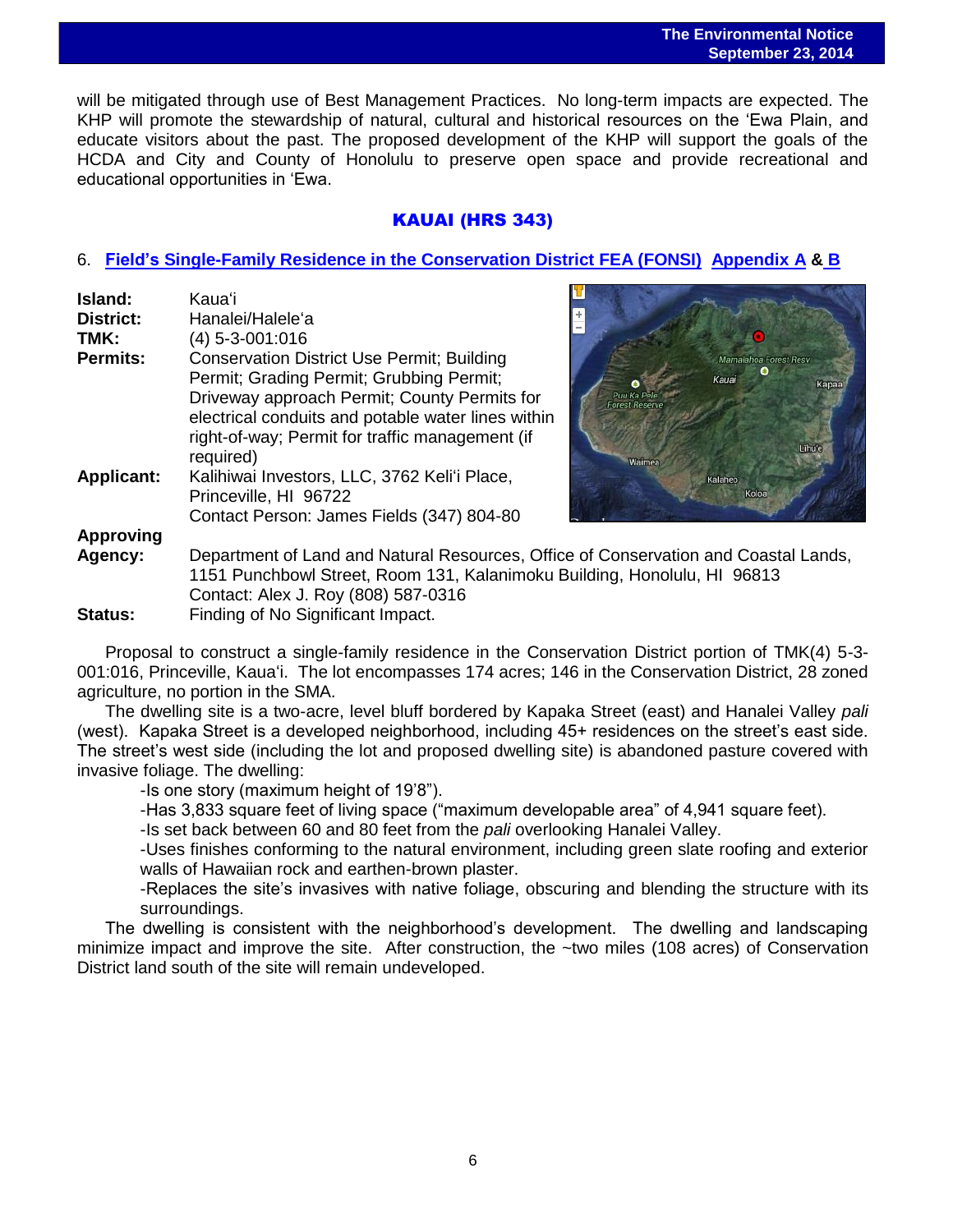### **The Environmental Notice September 23, 2014**

 will be mitigated through use of Best Management Practices. No long-term impacts are expected. The KHP will promote the stewardship of natural, cultural and historical resources on the ʻEwa Plain, and educate visitors about the past. The proposed development of the KHP will support the goals of the HCDA and City and County of Honolulu to preserve open space and provide recreational and educational opportunities in ʻEwa.

# KAUAI (HRS 343)

### 6. **[Field's Single-Family Residence in the Conservation](http://oeqc.doh.hawaii.gov/Shared%20Documents/EA_and_EIS_Online_Library/Kauai/2010s/2014-9-23-KA-5E-FEA-Fields-Single-Family-Residence-Project.pdf) District FEA (FONSI) [Appendix A](http://oeqc.doh.hawaii.gov/Shared%20Documents/EA_and_EIS_Online_Library/Kauai/2010s/2014-9-23-KA-5E-FEA-Fields-Single-Family-Residence-Project-Appendix-A.pdf) & [B](http://oeqc.doh.hawaii.gov/Shared%20Documents/EA_and_EIS_Online_Library/Kauai/2010s/2014-9-23-KA-5E-FEA-Fields-Single-Family-Residence-Project-Appendix-B.pdf)**

| Island:           | Kauaʻi                                             |
|-------------------|----------------------------------------------------|
| <b>District:</b>  | Hanalei/Halele'a                                   |
| TMK:              | $(4)$ 5-3-001:016                                  |
| <b>Permits:</b>   | <b>Conservation District Use Permit; Building</b>  |
|                   | Permit; Grading Permit; Grubbing Permit;           |
|                   | Driveway approach Permit; County Permits for       |
|                   | electrical conduits and potable water lines within |
|                   | right-of-way; Permit for traffic management (if    |
|                   | required)                                          |
| <b>Applicant:</b> | Kalihiwai Investors, LLC, 3762 Keli'i Place,       |
|                   | Princeville, HI 96722                              |
|                   | Contact Person: James Fields (347) 804-80          |
| <b>Approving</b>  |                                                    |
| Agency:           | Department of Land and Natural Resources, Office   |
|                   | 1151 Punchbowl Street, Room 131, Kalanimoku Bu     |
|                   |                                                    |



of Conservation and Coastal Lands, iilding, Honolulu, HI 96813 Contact: Alex J. Roy (808) 587-0316 **Status:** Finding of No Significant Impact.

Proposal to construct a single-family residence in the Conservation District portion of TMK(4) 5-3- 001:016, Princeville, Kaua'i. The lot encompasses 174 acres; 146 in the Conservation District, 28 zoned agriculture, no portion in the SMA.

The dwelling site is a two-acre, level bluff bordered by Kapaka Street (east) and Hanalei Valley *pali* (west). Kapaka Street is a developed neighborhood, including 45+ residences on the street's east side. The street's west side (including the lot and proposed dwelling site) is abandoned pasture covered with invasive foliage. The dwelling:

-Is one story (maximum height of 19'8").

-Has 3,833 square feet of living space ("maximum developable area" of 4,941 square feet).

-Is set back between 60 and 80 feet from the *pali* overlooking Hanalei Valley.

-Uses finishes conforming to the natural environment, including green slate roofing and exterior walls of Hawaiian rock and earthen-brown plaster.

-Replaces the site's invasives with native foliage, obscuring and blending the structure with its surroundings.

The dwelling is consistent with the neighborhood's development. The dwelling and landscaping minimize impact and improve the site. After construction, the ~two miles (108 acres) of Conservation District land south of the site will remain undeveloped.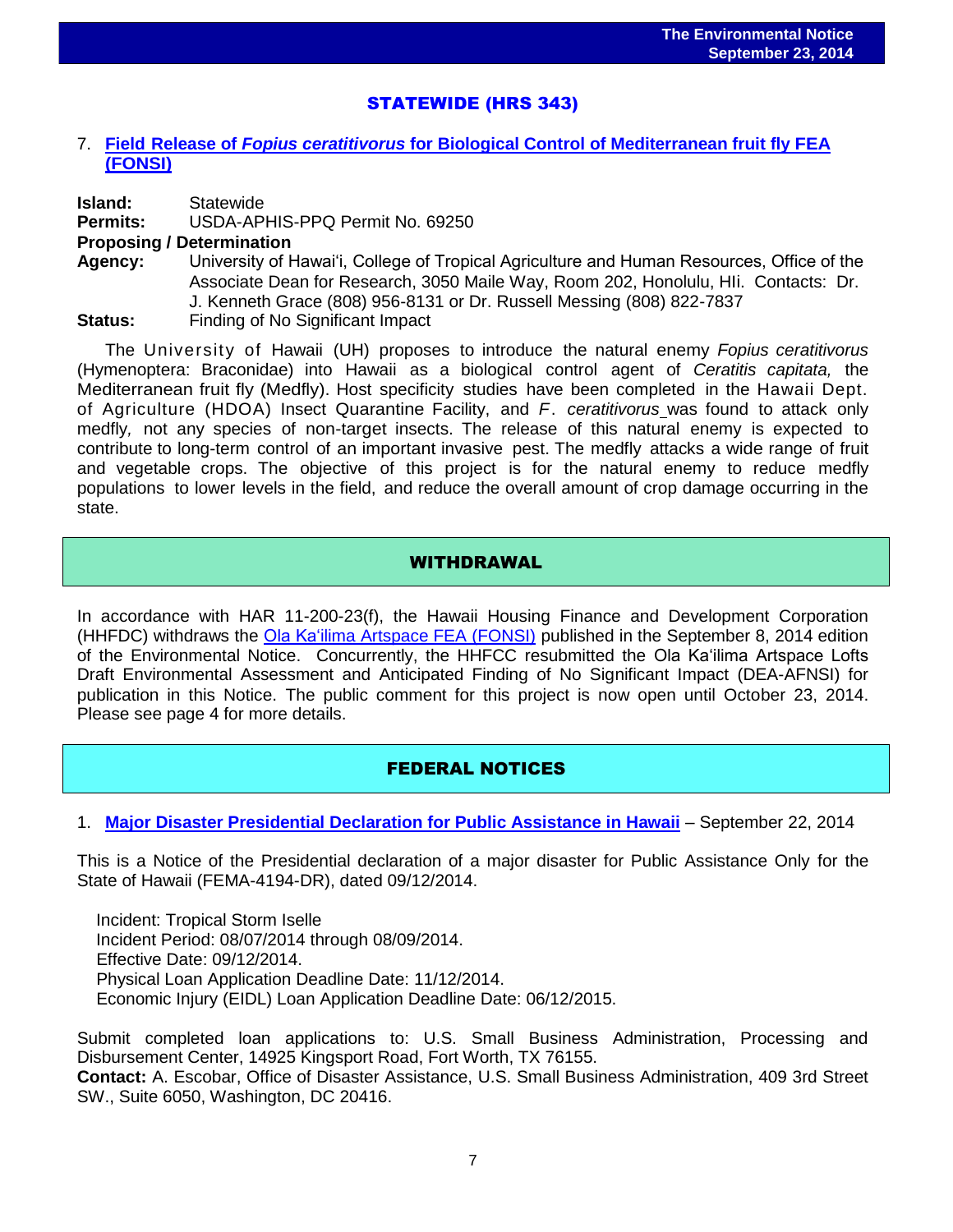# STATEWIDE (HRS 343)

### 7. **Field Release of** *Fopius ceratitivorus* **[for Biological Control of Mediterranean fruit fly FEA](http://oeqc.doh.hawaii.gov/Shared%20Documents/EA_and_EIS_Online_Library/Statewide/2010s/2014-09-23-ST-FEA-5B-Field-Release-Fopius-Biocontrol-of-Medfly.pdf)  [\(FONSI\)](http://oeqc.doh.hawaii.gov/Shared%20Documents/EA_and_EIS_Online_Library/Statewide/2010s/2014-09-23-ST-FEA-5B-Field-Release-Fopius-Biocontrol-of-Medfly.pdf)**

**Island:** Statewide **Permits:** USDA-APHIS-PPQ Permit No. 69250 **Proposing / Determination Agency:** University of Hawaiʻi, College of Tropical Agriculture and Human Resources, Office of the Associate Dean for Research, 3050 Maile Way, Room 202, Honolulu, HIi. Contacts: Dr. J. Kenneth Grace (808) 956-8131 or Dr. Russell Messing (808) 822-7837

**Status:** Finding of No Significant Impact

The University of Hawaii (UH) proposes to introduce the natural enemy *Fopius ceratitivorus* (Hymenoptera: Braconidae) into Hawaii as a biological control agent of *Ceratitis capitata,* the Mediterranean fruit fly (Medfly). Host specificity studies have been completed in the Hawaii Dept. of Agriculture (HDOA) Insect Quarantine Facility, and *F*. *ceratitivorus* was found to attack only medfly*,* not any species of non-target insects. The release of this natural enemy is expected to contribute to long-term control of an important invasive pest. The medfly attacks a wide range of fruit and vegetable crops. The objective of this project is for the natural enemy to reduce medfly populations to lower levels in the field, and reduce the overall amount of crop damage occurring in the state.

## WITHDRAWAL

In accordance with HAR 11-200-23(f), the Hawaii Housing Finance and Development Corporation (HHFDC) withdraws the [Ola Ka'ilima Artspace FEA](http://oeqc.doh.hawaii.gov/Shared%20Documents/EA_and_EIS_Online_Library/Oahu/2010s/2014-09-08-OA-5E-FEA-Ola-Ka-Lima-Artspace-Lofts.pdf) (FONSI) published in the September 8, 2014 edition of the Environmental Notice. Concurrently, the HHFCC resubmitted the Ola Ka'ilima Artspace Lofts Draft Environmental Assessment and Anticipated Finding of No Significant Impact (DEA-AFNSI) for publication in this Notice. The public comment for this project is now open until October 23, 2014. Please see page 4 for more details.

# FEDERAL NOTICES

## 1. **[Major Disaster Presidential Declaration for Public Assistance in Hawaii](http://www.gpo.gov/fdsys/pkg/FR-2014-09-22/pdf/2014-22517.pdf)** – September 22, 2014

This is a Notice of the Presidential declaration of a major disaster for Public Assistance Only for the State of Hawaii (FEMA-4194-DR), dated 09/12/2014.

 Incident: Tropical Storm Iselle Incident Period: 08/07/2014 through 08/09/2014. Effective Date: 09/12/2014. Physical Loan Application Deadline Date: 11/12/2014. Economic Injury (EIDL) Loan Application Deadline Date: 06/12/2015.

Submit completed loan applications to: U.S. Small Business Administration, Processing and Disbursement Center, 14925 Kingsport Road, Fort Worth, TX 76155. **Contact:** A. Escobar, Office of Disaster Assistance, U.S. Small Business Administration, 409 3rd Street SW., Suite 6050, Washington, DC 20416.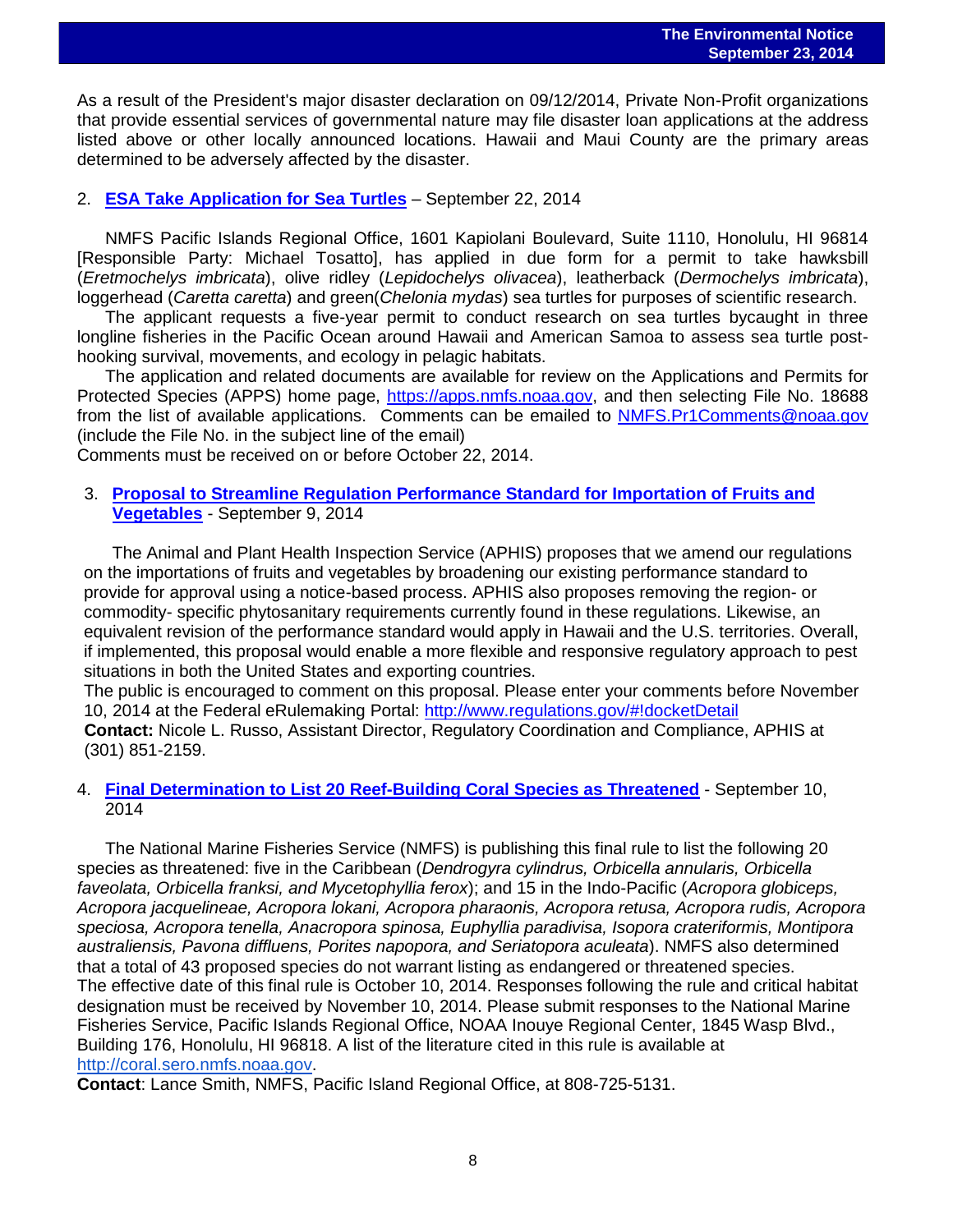As a result of the President's major disaster declaration on 09/12/2014, Private Non-Profit organizations that provide essential services of governmental nature may file disaster loan applications at the address listed above or other locally announced locations. Hawaii and Maui County are the primary areas determined to be adversely affected by the disaster.

### 2. **[ESA Take Application for Sea Turtles](http://www.gpo.gov/fdsys/pkg/FR-2014-09-22/pdf/2014-22443.pdf)** – September 22, 2014

NMFS Pacific Islands Regional Office, 1601 Kapiolani Boulevard, Suite 1110, Honolulu, HI 96814 [Responsible Party: Michael Tosatto], has applied in due form for a permit to take hawksbill (*Eretmochelys imbricata*), olive ridley (*Lepidochelys olivacea*), leatherback (*Dermochelys imbricata*), loggerhead (*Caretta caretta*) and green(*Chelonia mydas*) sea turtles for purposes of scientific research.

The applicant requests a five-year permit to conduct research on sea turtles bycaught in three longline fisheries in the Pacific Ocean around Hawaii and American Samoa to assess sea turtle posthooking survival, movements, and ecology in pelagic habitats.

The application and related documents are available for review on the Applications and Permits for Protected Species (APPS) home page, [https://apps.nmfs.noaa.gov,](https://apps.nmfs.noaa.gov/) and then selecting File No. 18688 from the list of available applications. Comments can be emailed to [NMFS.Pr1Comments@noaa.gov](mailto:NMFS.Pr1Comments@noaa.gov) (include the File No. in the subject line of the email)

Comments must be received on or before October 22, 2014.

### 3. **[Proposal to Streamline Regulation Performance Standard for Importation of Fruits and](http://www.gpo.gov/fdsys/pkg/FR-2014-09-09/pdf/2014-21406.pdf)  [Vegetables](http://www.gpo.gov/fdsys/pkg/FR-2014-09-09/pdf/2014-21406.pdf)** - September 9, 2014

The Animal and Plant Health Inspection Service (APHIS) proposes that we amend our regulations on the importations of fruits and vegetables by broadening our existing performance standard to provide for approval using a notice-based process. APHIS also proposes removing the region- or commodity- specific phytosanitary requirements currently found in these regulations. Likewise, an equivalent revision of the performance standard would apply in Hawaii and the U.S. territories. Overall, if implemented, this proposal would enable a more flexible and responsive regulatory approach to pest situations in both the United States and exporting countries.

The public is encouraged to comment on this proposal. Please enter your comments before November 10, 2014 at the Federal eRulemaking Portal:<http://www.regulations.gov/#!docketDetail> **Contact:** Nicole L. Russo, Assistant Director, Regulatory Coordination and Compliance, APHIS at (301) 851-2159.

### 4. **[Final Determination to List 20 Reef-Building Coral Species as Threatened](http://www.gpo.gov/fdsys/pkg/FR-2014-09-10/pdf/2014-20814.pdf)** - September 10, 2014

The National Marine Fisheries Service (NMFS) is publishing this final rule to list the following 20 species as threatened: five in the Caribbean (*Dendrogyra cylindrus, Orbicella annularis, Orbicella faveolata, Orbicella franksi, and Mycetophyllia ferox*); and 15 in the Indo-Pacific (*Acropora globiceps, Acropora jacquelineae, Acropora lokani, Acropora pharaonis, Acropora retusa, Acropora rudis, Acropora speciosa, Acropora tenella, Anacropora spinosa, Euphyllia paradivisa, Isopora crateriformis, Montipora australiensis, Pavona diffluens, Porites napopora, and Seriatopora aculeata*). NMFS also determined that a total of 43 proposed species do not warrant listing as endangered or threatened species. The effective date of this final rule is October 10, 2014. Responses following the rule and critical habitat designation must be received by November 10, 2014. Please submit responses to the National Marine Fisheries Service, Pacific Islands Regional Office, NOAA Inouye Regional Center, 1845 Wasp Blvd., Building 176, Honolulu, HI 96818. A list of the literature cited in this rule is available a[t](http://coral.sero.nmfs.noaa.gov/) [http://coral.sero.nmfs.noaa.gov.](http://coral.sero.nmfs.noaa.gov/)

**Contact**: Lance Smith, NMFS, Pacific Island Regional Office, at 808-725-5131.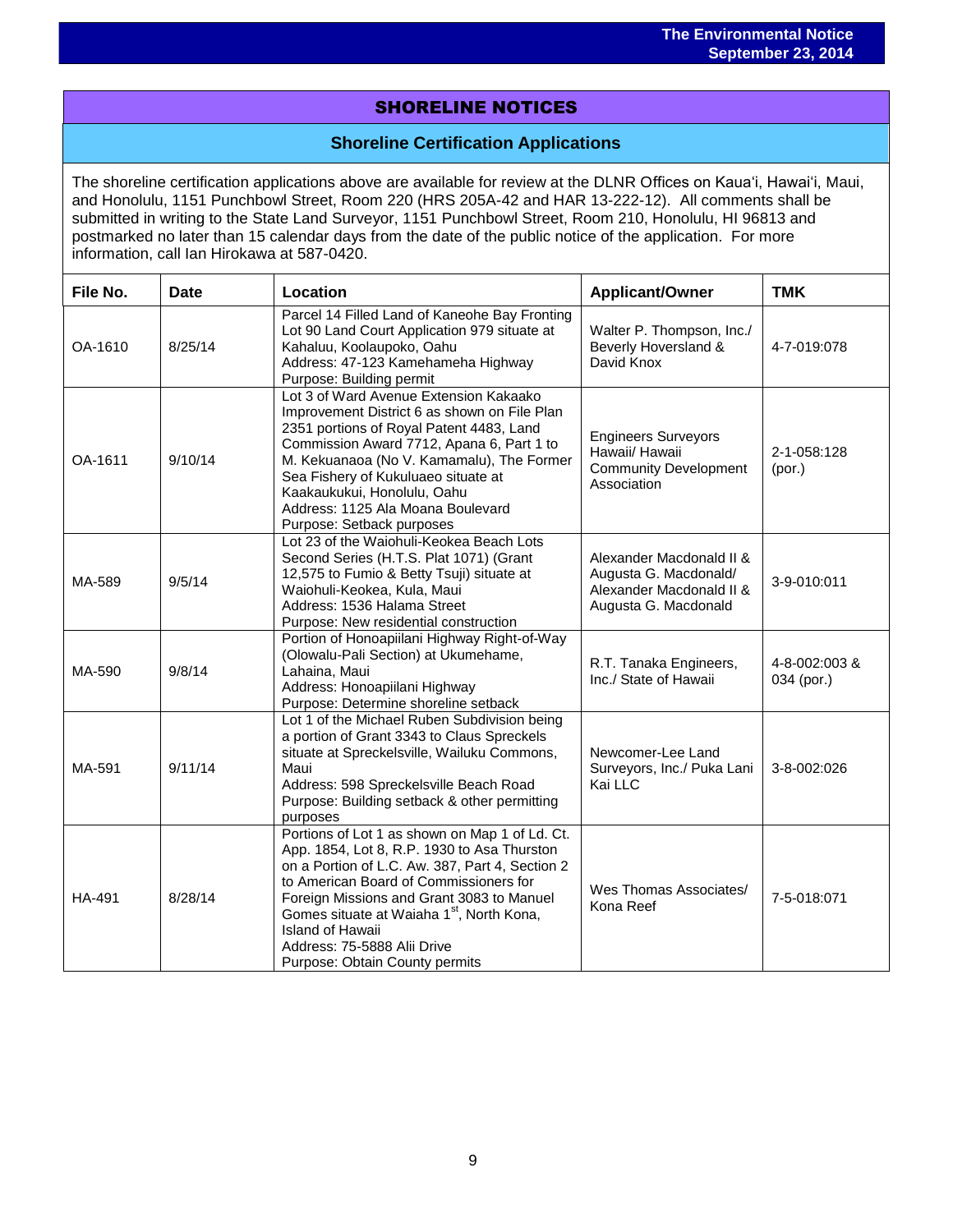# SHORELINE NOTICES

# **Shoreline Certification Applications**

The shoreline certification applications above are available for review at the DLNR Offices on Kauaʻi, Hawaiʻi, Maui, and Honolulu, 1151 Punchbowl Street, Room 220 (HRS 205A-42 and HAR 13-222-12). All comments shall be submitted in writing to the State Land Surveyor, 1151 Punchbowl Street, Room 210, Honolulu, HI 96813 and postmarked no later than 15 calendar days from the date of the public notice of the application. For more information, call Ian Hirokawa at 587-0420.

| File No. | <b>Date</b> | Location                                                                                                                                                                                                                                                                                                                                                                                     | <b>Applicant/Owner</b>                                                                                | <b>TMK</b>                  |
|----------|-------------|----------------------------------------------------------------------------------------------------------------------------------------------------------------------------------------------------------------------------------------------------------------------------------------------------------------------------------------------------------------------------------------------|-------------------------------------------------------------------------------------------------------|-----------------------------|
| OA-1610  | 8/25/14     | Parcel 14 Filled Land of Kaneohe Bay Fronting<br>Lot 90 Land Court Application 979 situate at<br>Kahaluu, Koolaupoko, Oahu<br>Address: 47-123 Kamehameha Highway<br>Purpose: Building permit                                                                                                                                                                                                 | Walter P. Thompson, Inc./<br>Beverly Hoversland &<br>David Knox                                       | 4-7-019:078                 |
| OA-1611  | 9/10/14     | Lot 3 of Ward Avenue Extension Kakaako<br>Improvement District 6 as shown on File Plan<br>2351 portions of Royal Patent 4483, Land<br>Commission Award 7712, Apana 6, Part 1 to<br>M. Kekuanaoa (No V. Kamamalu), The Former<br>Sea Fishery of Kukuluaeo situate at<br>Kaakaukukui, Honolulu, Oahu<br>Address: 1125 Ala Moana Boulevard<br>Purpose: Setback purposes                         | <b>Engineers Surveyors</b><br>Hawaii/ Hawaii<br><b>Community Development</b><br>Association           | 2-1-058:128<br>(por.)       |
| MA-589   | 9/5/14      | Lot 23 of the Waiohuli-Keokea Beach Lots<br>Second Series (H.T.S. Plat 1071) (Grant<br>12,575 to Fumio & Betty Tsuji) situate at<br>Waiohuli-Keokea, Kula, Maui<br>Address: 1536 Halama Street<br>Purpose: New residential construction                                                                                                                                                      | Alexander Macdonald II &<br>Augusta G. Macdonald/<br>Alexander Macdonald II &<br>Augusta G. Macdonald | 3-9-010:011                 |
| MA-590   | 9/8/14      | Portion of Honoapiilani Highway Right-of-Way<br>(Olowalu-Pali Section) at Ukumehame,<br>Lahaina, Maui<br>Address: Honoapiilani Highway<br>Purpose: Determine shoreline setback                                                                                                                                                                                                               | R.T. Tanaka Engineers,<br>Inc./ State of Hawaii                                                       | 4-8-002:003 &<br>034 (por.) |
| MA-591   | 9/11/14     | Lot 1 of the Michael Ruben Subdivision being<br>a portion of Grant 3343 to Claus Spreckels<br>situate at Spreckelsville, Wailuku Commons,<br>Maui<br>Address: 598 Spreckelsville Beach Road<br>Purpose: Building setback & other permitting<br>purposes                                                                                                                                      | Newcomer-Lee Land<br>Surveyors, Inc./ Puka Lani<br>Kai LLC                                            | 3-8-002:026                 |
| HA-491   | 8/28/14     | Portions of Lot 1 as shown on Map 1 of Ld. Ct.<br>App. 1854, Lot 8, R.P. 1930 to Asa Thurston<br>on a Portion of L.C. Aw. 387, Part 4, Section 2<br>to American Board of Commissioners for<br>Foreign Missions and Grant 3083 to Manuel<br>Gomes situate at Waiaha 1 <sup>st</sup> , North Kona,<br><b>Island of Hawaii</b><br>Address: 75-5888 Alii Drive<br>Purpose: Obtain County permits | Wes Thomas Associates/<br>Kona Reef                                                                   | 7-5-018:071                 |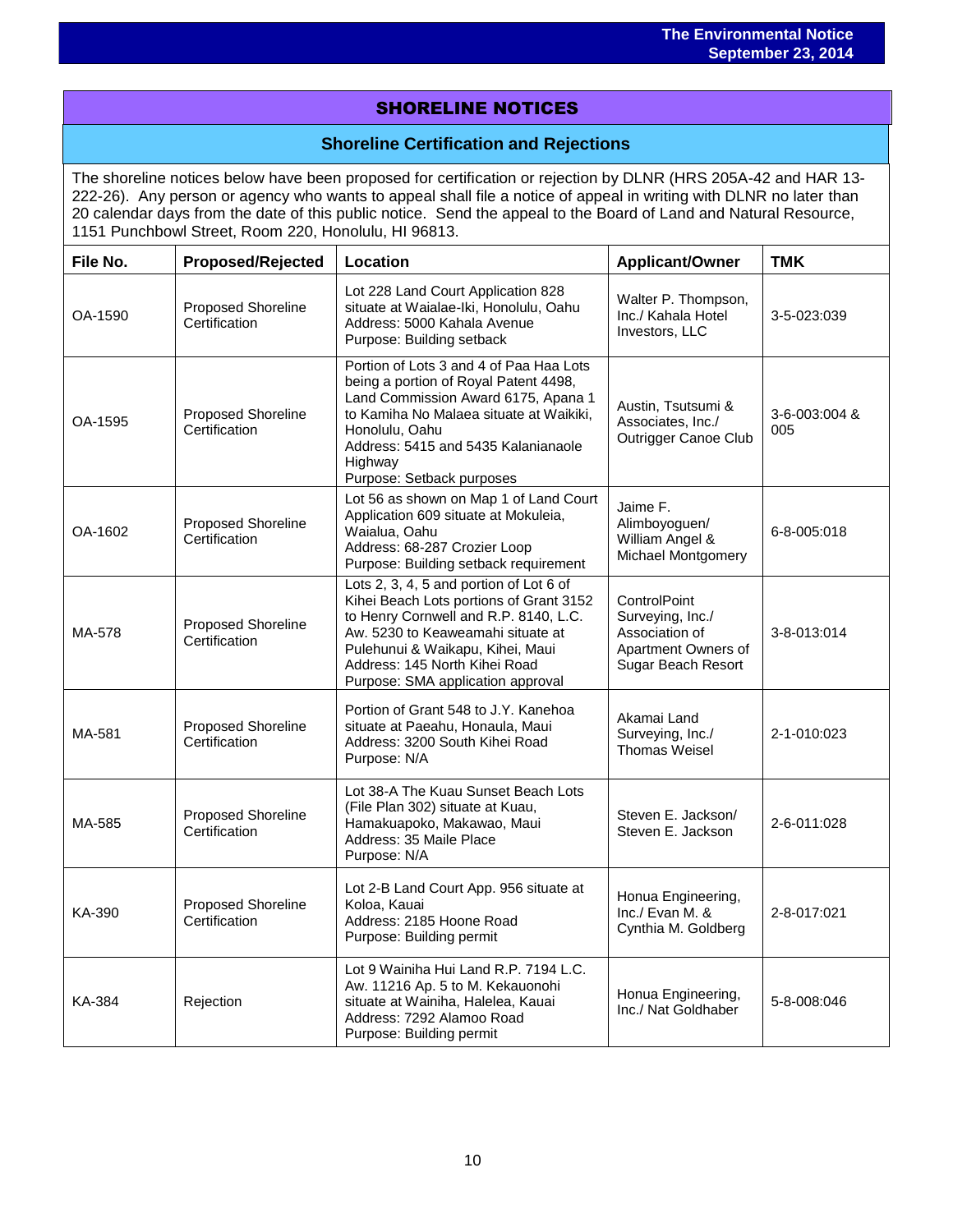# SHORELINE NOTICES

### **Shoreline Certification and Rejections**

The shoreline notices below have been proposed for certification or rejection by DLNR (HRS 205A-42 and HAR 13- 222-26). Any person or agency who wants to appeal shall file a notice of appeal in writing with DLNR no later than 20 calendar days from the date of this public notice. Send the appeal to the Board of Land and Natural Resource, 1151 Punchbowl Street, Room 220, Honolulu, HI 96813.

| File No. | <b>Proposed/Rejected</b>                   | Location                                                                                                                                                                                                                                                                   | Applicant/Owner                                                                                 | <b>TMK</b>           |
|----------|--------------------------------------------|----------------------------------------------------------------------------------------------------------------------------------------------------------------------------------------------------------------------------------------------------------------------------|-------------------------------------------------------------------------------------------------|----------------------|
| OA-1590  | Proposed Shoreline<br>Certification        | Lot 228 Land Court Application 828<br>situate at Waialae-Iki, Honolulu, Oahu<br>Address: 5000 Kahala Avenue<br>Purpose: Building setback                                                                                                                                   | Walter P. Thompson,<br>Inc./ Kahala Hotel<br>Investors, LLC                                     | 3-5-023:039          |
| OA-1595  | Proposed Shoreline<br>Certification        | Portion of Lots 3 and 4 of Paa Haa Lots<br>being a portion of Royal Patent 4498,<br>Land Commission Award 6175, Apana 1<br>to Kamiha No Malaea situate at Waikiki,<br>Honolulu, Oahu<br>Address: 5415 and 5435 Kalanianaole<br>Highway<br>Purpose: Setback purposes        | Austin, Tsutsumi &<br>Associates, Inc./<br>Outrigger Canoe Club                                 | 3-6-003:004 &<br>005 |
| OA-1602  | Proposed Shoreline<br>Certification        | Lot 56 as shown on Map 1 of Land Court<br>Application 609 situate at Mokuleia,<br>Waialua, Oahu<br>Address: 68-287 Crozier Loop<br>Purpose: Building setback requirement                                                                                                   | Jaime F.<br>Alimboyoguen/<br>William Angel &<br><b>Michael Montgomery</b>                       | 6-8-005:018          |
| MA-578   | Proposed Shoreline<br>Certification        | Lots 2, 3, 4, 5 and portion of Lot 6 of<br>Kihei Beach Lots portions of Grant 3152<br>to Henry Cornwell and R.P. 8140, L.C.<br>Aw. 5230 to Keaweamahi situate at<br>Pulehunui & Waikapu, Kihei, Maui<br>Address: 145 North Kihei Road<br>Purpose: SMA application approval | ControlPoint<br>Surveying, Inc./<br>Association of<br>Apartment Owners of<br>Sugar Beach Resort | 3-8-013:014          |
| MA-581   | <b>Proposed Shoreline</b><br>Certification | Portion of Grant 548 to J.Y. Kanehoa<br>situate at Paeahu, Honaula, Maui<br>Address: 3200 South Kihei Road<br>Purpose: N/A                                                                                                                                                 | Akamai Land<br>Surveying, Inc./<br>Thomas Weisel                                                | 2-1-010:023          |
| MA-585   | Proposed Shoreline<br>Certification        | Lot 38-A The Kuau Sunset Beach Lots<br>(File Plan 302) situate at Kuau,<br>Hamakuapoko, Makawao, Maui<br>Address: 35 Maile Place<br>Purpose: N/A                                                                                                                           | Steven E. Jackson/<br>Steven E. Jackson                                                         | 2-6-011:028          |
| KA-390   | Proposed Shoreline<br>Certification        | Lot 2-B Land Court App. 956 situate at<br>Koloa, Kauai<br>Address: 2185 Hoone Road<br>Purpose: Building permit                                                                                                                                                             | Honua Engineering,<br>Inc./ Evan M. &<br>Cynthia M. Goldberg                                    | 2-8-017:021          |
| KA-384   | Rejection                                  | Lot 9 Wainiha Hui Land R.P. 7194 L.C.<br>Aw. 11216 Ap. 5 to M. Kekauonohi<br>situate at Wainiha, Halelea, Kauai<br>Address: 7292 Alamoo Road<br>Purpose: Building permit                                                                                                   | Honua Engineering,<br>Inc./ Nat Goldhaber                                                       | 5-8-008:046          |